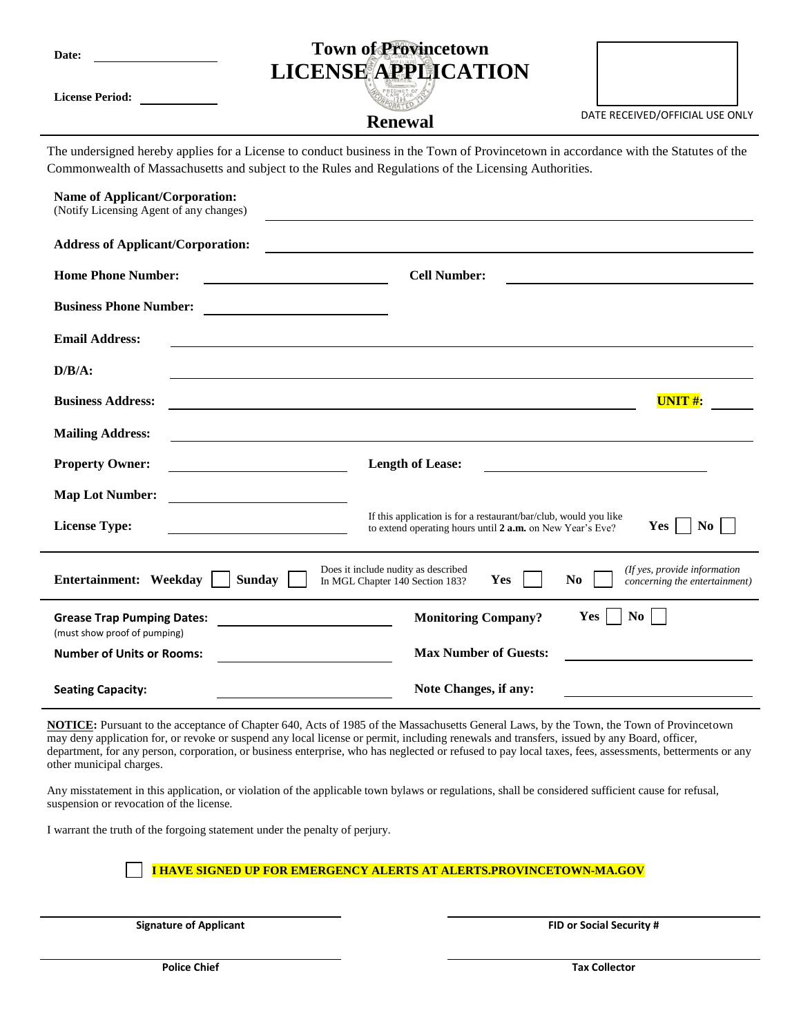| Date:                                                                                                                                                                                                                                       | <b>Town of Provincetown</b><br><b>LICENSE APPLICATION</b>                                                                                      |                                 |
|---------------------------------------------------------------------------------------------------------------------------------------------------------------------------------------------------------------------------------------------|------------------------------------------------------------------------------------------------------------------------------------------------|---------------------------------|
| <b>License Period:</b>                                                                                                                                                                                                                      | <b>Renewal</b>                                                                                                                                 | DATE RECEIVED/OFFICIAL USE ONLY |
| The undersigned hereby applies for a License to conduct business in the Town of Provincetown in accordance with the Statutes of the<br>Commonwealth of Massachusetts and subject to the Rules and Regulations of the Licensing Authorities. |                                                                                                                                                |                                 |
| <b>Name of Applicant/Corporation:</b><br>(Notify Licensing Agent of any changes)                                                                                                                                                            |                                                                                                                                                |                                 |
| <b>Address of Applicant/Corporation:</b>                                                                                                                                                                                                    |                                                                                                                                                |                                 |
| <b>Home Phone Number:</b>                                                                                                                                                                                                                   | <b>Cell Number:</b><br><u> 1989 - Johann Stoff, deutscher Stoffen und der Stoffen und der Stoffen und der Stoffen und der Stoffen und der </u> |                                 |
| <b>Business Phone Number:</b>                                                                                                                                                                                                               |                                                                                                                                                |                                 |
| <b>Email Address:</b>                                                                                                                                                                                                                       |                                                                                                                                                |                                 |
| $D/B/A$ :                                                                                                                                                                                                                                   |                                                                                                                                                |                                 |
| <b>Business Address:</b>                                                                                                                                                                                                                    |                                                                                                                                                | $UNIT$ #:                       |
| <b>Mailing Address:</b>                                                                                                                                                                                                                     |                                                                                                                                                |                                 |
| <b>Property Owner:</b>                                                                                                                                                                                                                      | <b>Length of Lease:</b>                                                                                                                        |                                 |
| <b>Map Lot Number:</b>                                                                                                                                                                                                                      |                                                                                                                                                |                                 |
| <b>License Type:</b>                                                                                                                                                                                                                        | If this application is for a restaurant/bar/club, would you like<br>to extend operating hours until 2 a.m. on New Year's Eve?                  | N <sub>0</sub><br><b>Yes</b>    |
| Does it include nudity as described<br>(If yes, provide information<br>Entertainment: Weekday<br><b>Sunday</b><br>Yes<br>N <sub>0</sub><br>In MGL Chapter 140 Section 183?<br>concerning the entertainment)                                 |                                                                                                                                                |                                 |
| <b>Grease Trap Pumping Dates:</b><br>(must show proof of pumping)                                                                                                                                                                           | <b>Monitoring Company?</b>                                                                                                                     | N <sub>0</sub><br>Yes           |
| <b>Number of Units or Rooms:</b>                                                                                                                                                                                                            | <b>Max Number of Guests:</b>                                                                                                                   |                                 |

**NOTICE:** Pursuant to the acceptance of Chapter 640, Acts of 1985 of the Massachusetts General Laws, by the Town, the Town of Provincetown may deny application for, or revoke or suspend any local license or permit, including renewals and transfers, issued by any Board, officer, department, for any person, corporation, or business enterprise, who has neglected or refused to pay local taxes, fees, assessments, betterments or any other municipal charges.

**Note Changes, if any:**

Any misstatement in this application, or violation of the applicable town bylaws or regulations, shall be considered sufficient cause for refusal, suspension or revocation of the license.

I warrant the truth of the forgoing statement under the penalty of perjury.

**I HAVE SIGNED UP FOR EMERGENCY ALERTS AT ALERTS.PROVINCETOWN-MA.GOV**

**Seating Capacity:**

**Signature of Applicant FID or Social Security #**